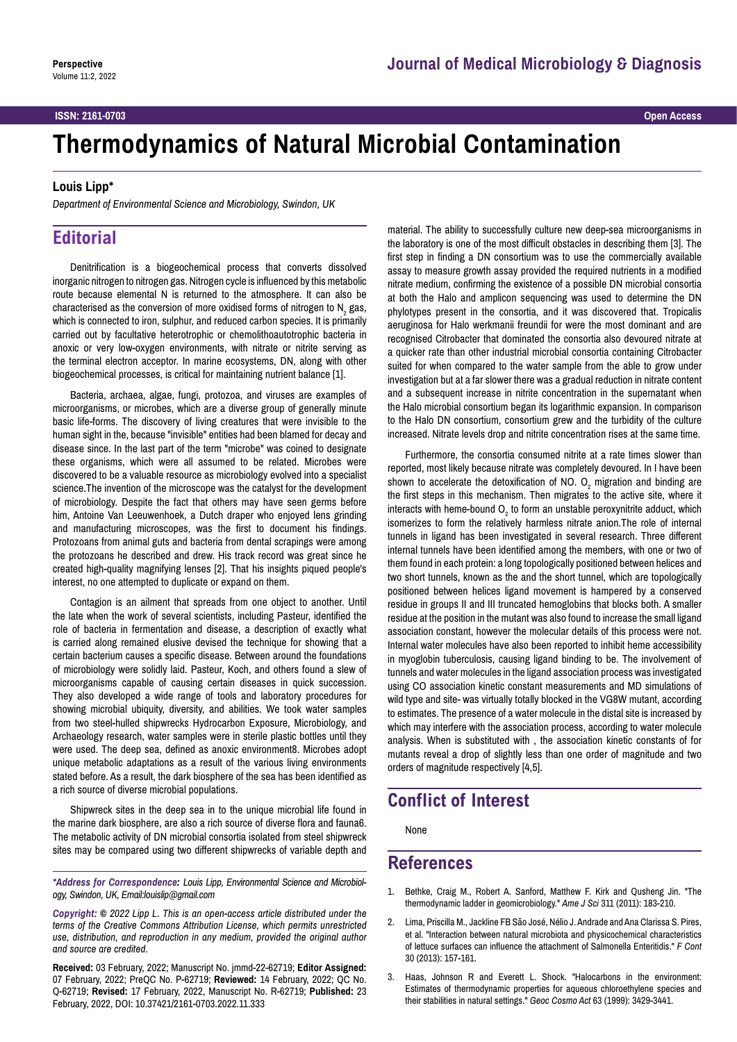#### **ISSN: 2161-0703 Open Access**

# **Thermodynamics of Natural Microbial Contamination**

#### **Louis Lipp\***

*Department of Environmental Science and Microbiology, Swindon, UK*

## **Editorial**

Denitrification is a biogeochemical process that converts dissolved inorganic nitrogen to nitrogen gas. Nitrogen cycle is influenced by this metabolic route because elemental N is returned to the atmosphere. It can also be characterised as the conversion of more oxidised forms of nitrogen to N<sub>2</sub> gas, which is connected to iron, sulphur, and reduced carbon species. It is primarily carried out by facultative heterotrophic or chemolithoautotrophic bacteria in anoxic or very low-oxygen environments, with nitrate or nitrite serving as the terminal electron acceptor. In marine ecosystems, DN, along with other biogeochemical processes, is critical for maintaining nutrient balance [1].

Bacteria, archaea, algae, fungi, protozoa, and viruses are examples of microorganisms, or microbes, which are a diverse group of generally minute basic life-forms. The discovery of living creatures that were invisible to the human sight in the, because "invisible" entities had been blamed for decay and disease since. In the last part of the term "microbe" was coined to designate these organisms, which were all assumed to be related. Microbes were discovered to be a valuable resource as microbiology evolved into a specialist science.The invention of the microscope was the catalyst for the development of microbiology. Despite the fact that others may have seen germs before him, Antoine Van Leeuwenhoek, a Dutch draper who enjoyed lens grinding and manufacturing microscopes, was the first to document his findings. Protozoans from animal guts and bacteria from dental scrapings were among the protozoans he described and drew. His track record was great since he created high-quality magnifying lenses [2]. That his insights piqued people's interest, no one attempted to duplicate or expand on them.

Contagion is an ailment that spreads from one object to another. Until the late when the work of several scientists, including Pasteur, identified the role of bacteria in fermentation and disease, a description of exactly what is carried along remained elusive devised the technique for showing that a certain bacterium causes a specific disease. Between around the foundations of microbiology were solidly laid. Pasteur, Koch, and others found a slew of microorganisms capable of causing certain diseases in quick succession. They also developed a wide range of tools and laboratory procedures for showing microbial ubiquity, diversity, and abilities. We took water samples from two steel-hulled shipwrecks Hydrocarbon Exposure, Microbiology, and Archaeology research, water samples were in sterile plastic bottles until they were used. The deep sea, defined as anoxic environment8. Microbes adopt unique metabolic adaptations as a result of the various living environments stated before. As a result, the dark biosphere of the sea has been identified as a rich source of diverse microbial populations.

Shipwreck sites in the deep sea in to the unique microbial life found in the marine dark biosphere, are also a rich source of diverse flora and fauna6. The metabolic activity of DN microbial consortia isolated from steel shipwreck sites may be compared using two different shipwrecks of variable depth and

*\*Address for Correspondence: Louis Lipp, Environmental Science and Microbiology, Swindon, UK, Email:louislip@gmail.com*

*Copyright: © 2022 Lipp L. This is an open-access article distributed under the terms of the Creative Commons Attribution License, which permits unrestricted use, distribution, and reproduction in any medium, provided the original author and source are credited.*

**Received:** 03 February, 2022; Manuscript No. jmmd-22-62719; **Editor Assigned:** 07 February, 2022; PreQC No. P-62719; **Reviewed:** 14 February, 2022; QC No. Q-62719; **Revised:** 17 February, 2022, Manuscript No. R-62719; **Published:** 23 February, 2022, DOI: 10.37421/2161-0703.2022.11.333

material. The ability to successfully culture new deep-sea microorganisms in the laboratory is one of the most difficult obstacles in describing them [3]. The first step in finding a DN consortium was to use the commercially available assay to measure growth assay provided the required nutrients in a modified nitrate medium, confirming the existence of a possible DN microbial consortia at both the Halo and amplicon sequencing was used to determine the DN phylotypes present in the consortia, and it was discovered that. Tropicalis aeruginosa for Halo werkmanii freundii for were the most dominant and are recognised Citrobacter that dominated the consortia also devoured nitrate at a quicker rate than other industrial microbial consortia containing Citrobacter suited for when compared to the water sample from the able to grow under investigation but at a far slower there was a gradual reduction in nitrate content and a subsequent increase in nitrite concentration in the supernatant when the Halo microbial consortium began its logarithmic expansion. In comparison to the Halo DN consortium, consortium grew and the turbidity of the culture increased. Nitrate levels drop and nitrite concentration rises at the same time.

Furthermore, the consortia consumed nitrite at a rate times slower than reported, most likely because nitrate was completely devoured. In I have been shown to accelerate the detoxification of NO.  $O_{2}$  migration and binding are the first steps in this mechanism. Then migrates to the active site, where it interacts with heme-bound  $\mathsf{O}_2$  to form an unstable peroxynitrite adduct, which isomerizes to form the relatively harmless nitrate anion.The role of internal tunnels in ligand has been investigated in several research. Three different internal tunnels have been identified among the members, with one or two of them found in each protein: a long topologically positioned between helices and two short tunnels, known as the and the short tunnel, which are topologically positioned between helices ligand movement is hampered by a conserved residue in groups II and III truncated hemoglobins that blocks both. A smaller residue at the position in the mutant was also found to increase the small ligand association constant, however the molecular details of this process were not. Internal water molecules have also been reported to inhibit heme accessibility in myoglobin tuberculosis, causing ligand binding to be. The involvement of tunnels and water molecules in the ligand association process was investigated using CO association kinetic constant measurements and MD simulations of wild type and site- was virtually totally blocked in the VG8W mutant, according to estimates. The presence of a water molecule in the distal site is increased by which may interfere with the association process, according to water molecule analysis. When is substituted with , the association kinetic constants of for mutants reveal a drop of slightly less than one order of magnitude and two orders of magnitude respectively [4,5].

## **Conflict of Interest**

None

### **References**

- 1. Bethke, Craig M., Robert A. Sanford, Matthew F. Kirk and Qusheng Jin. "[The](https://www.ajsonline.org/content/311/3/183.short)  [thermodynamic ladder in geomicrobiology](https://www.ajsonline.org/content/311/3/183.short)." *Ame J Sci* 311 (2011): 183-210.
- 2. Lima, Priscilla M., Jackline FB São José, Nélio J. Andrade and Ana Clarissa S. Pires, et al. "[Interaction between natural microbiota and physicochemical characteristics](https://www.sciencedirect.com/science/article/abs/pii/S0956713512003714)  [of lettuce surfaces can influence the attachment of Salmonella Enteritidis.](https://www.sciencedirect.com/science/article/abs/pii/S0956713512003714)" *F Cont* 30 (2013): 157-161.
- 3. Haas, Johnson R and Everett L. Shock. "[Halocarbons in the environment:](https://www.sciencedirect.com/science/article/abs/pii/S0016703799002768)  [Estimates of thermodynamic properties for aqueous chloroethylene species and](https://www.sciencedirect.com/science/article/abs/pii/S0016703799002768)  [their stabilities in natural settings](https://www.sciencedirect.com/science/article/abs/pii/S0016703799002768)." *Geoc Cosmo Act* 63 (1999): 3429-3441.